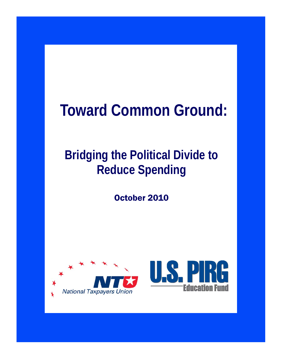# **Toward Common Ground:**

# **Bridging the Political Divide to Reduce Spending**

October 2010

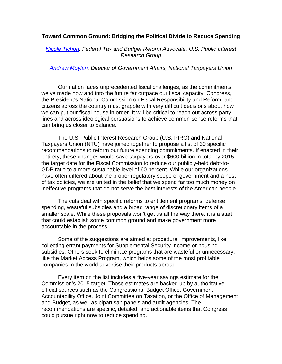## **Toward Common Ground: Bridging the Political Divide to Reduce Spending**

# *Nicole Tichon, Federal Tax and Budget Reform Advocate, U.S. Public Interest Research Group*

#### *Andrew Moylan, Director of Government Affairs, National Taxpayers Union*

Our nation faces unprecedented fiscal challenges, as the commitments we've made now and into the future far outpace our fiscal capacity. Congress, the President's National Commission on Fiscal Responsibility and Reform, and citizens across the country must grapple with very difficult decisions about how we can put our fiscal house in order. It will be critical to reach out across party lines and across ideological persuasions to achieve common-sense reforms that can bring us closer to balance.

The U.S. Public Interest Research Group (U.S. PIRG) and National Taxpayers Union (NTU) have joined together to propose a list of 30 specific recommendations to reform our future spending commitments. If enacted in their entirety, these changes would save taxpayers over \$600 billion in total by 2015, the target date for the Fiscal Commission to reduce our publicly-held debt-to-GDP ratio to a more sustainable level of 60 percent. While our organizations have often differed about the proper regulatory scope of government and a host of tax policies, we are united in the belief that we spend far too much money on ineffective programs that do not serve the best interests of the American people.

The cuts deal with specific reforms to entitlement programs, defense spending, wasteful subsidies and a broad range of discretionary items of a smaller scale. While these proposals won't get us all the way there, it is a start that could establish some common ground and make government more accountable in the process.

Some of the suggestions are aimed at procedural improvements, like collecting errant payments for Supplemental Security Income or housing subsidies. Others seek to eliminate programs that are wasteful or unnecessary, like the Market Access Program, which helps some of the most profitable companies in the world advertise their products abroad.

Every item on the list includes a five-year savings estimate for the Commission's 2015 target. Those estimates are backed up by authoritative official sources such as the Congressional Budget Office, Government Accountability Office, Joint Committee on Taxation, or the Office of Management and Budget, as well as bipartisan panels and audit agencies. The recommendations are specific, detailed, and actionable items that Congress could pursue right now to reduce spending.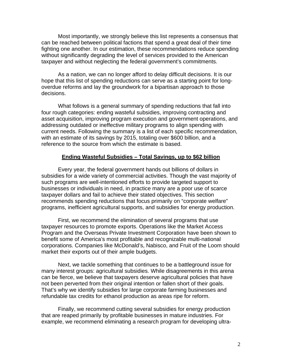Most importantly, we strongly believe this list represents a consensus that can be reached between political factions that spend a great deal of their time fighting one another. In our estimation, these recommendations reduce spending without significantly degrading the level of services provided to the American taxpayer and without neglecting the federal government's commitments.

As a nation, we can no longer afford to delay difficult decisions. It is our hope that this list of spending reductions can serve as a starting point for longoverdue reforms and lay the groundwork for a bipartisan approach to those decisions.

What follows is a general summary of spending reductions that fall into four rough categories: ending wasteful subsidies, improving contracting and asset acquisition, improving program execution and government operations, and addressing outdated or ineffective military programs to align spending with current needs. Following the summary is a list of each specific recommendation, with an estimate of its savings by 2015, totaling over \$600 billion, and a reference to the source from which the estimate is based.

#### **Ending Wasteful Subsidies – Total Savings, up to \$62 billion**

 Every year, the federal government hands out billions of dollars in subsidies for a wide variety of commercial activities. Though the vast majority of such programs are well-intentioned efforts to provide targeted support to businesses or individuals in need, in practice many are a poor use of scarce taxpayer dollars and fail to achieve their stated objectives. This section recommends spending reductions that focus primarily on "corporate welfare" programs, inefficient agricultural supports, and subsidies for energy production.

 First, we recommend the elimination of several programs that use taxpayer resources to promote exports. Operations like the Market Access Program and the Overseas Private Investment Corporation have been shown to benefit some of America's most profitable and recognizable multi-national corporations. Companies like McDonald's, Nabisco, and Fruit of the Loom should market their exports out of their ample budgets.

 Next, we tackle something that continues to be a battleground issue for many interest groups: agricultural subsidies. While disagreements in this arena can be fierce, we believe that taxpayers deserve agricultural policies that have not been perverted from their original intention or fallen short of their goals. That's why we identify subsidies for large corporate farming businesses and refundable tax credits for ethanol production as areas ripe for reform.

 Finally, we recommend cutting several subsidies for energy production that are reaped primarily by profitable businesses in mature industries. For example, we recommend eliminating a research program for developing ultra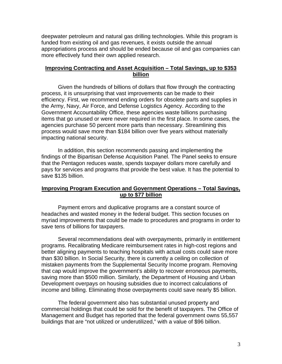deepwater petroleum and natural gas drilling technologies. While this program is funded from existing oil and gas revenues, it exists outside the annual appropriations process and should be ended because oil and gas companies can more effectively fund their own applied research.

# **Improving Contracting and Asset Acquisition – Total Savings, up to \$353 billion**

 Given the hundreds of billions of dollars that flow through the contracting process, it is unsurprising that vast improvements can be made to their efficiency. First, we recommend ending orders for obsolete parts and supplies in the Army, Navy, Air Force, and Defense Logistics Agency. According to the Government Accountability Office, these agencies waste billions purchasing items that go unused or were never required in the first place. In some cases, the agencies purchase 50 percent more parts than necessary. Streamlining this process would save more than \$184 billion over five years without materially impacting national security.

 In addition, this section recommends passing and implementing the findings of the Bipartisan Defense Acquisition Panel. The Panel seeks to ensure that the Pentagon reduces waste, spends taxpayer dollars more carefully and pays for services and programs that provide the best value. It has the potential to save \$135 billion.

# **Improving Program Execution and Government Operations – Total Savings, up to \$77 billion**

 Payment errors and duplicative programs are a constant source of headaches and wasted money in the federal budget. This section focuses on myriad improvements that could be made to procedures and programs in order to save tens of billions for taxpayers.

 Several recommendations deal with overpayments, primarily in entitlement programs. Recalibrating Medicare reimbursement rates in high-cost regions and better aligning payments to teaching hospitals with actual costs could save more than \$30 billion. In Social Security, there is currently a ceiling on collection of mistaken payments from the Supplemental Security Income program. Removing that cap would improve the government's ability to recover erroneous payments, saving more than \$500 million. Similarly, the Department of Housing and Urban Development overpays on housing subsidies due to incorrect calculations of income and billing. Eliminating those overpayments could save nearly \$5 billion.

 The federal government also has substantial unused property and commercial holdings that could be sold for the benefit of taxpayers. The Office of Management and Budget has reported that the federal government owns 55,557 buildings that are "not utilized or underutilized," with a value of \$96 billion.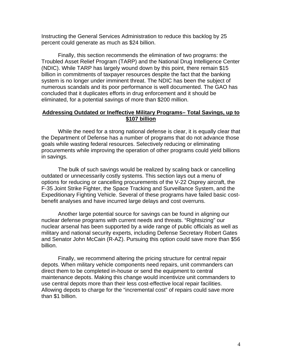Instructing the General Services Administration to reduce this backlog by 25 percent could generate as much as \$24 billion.

 Finally, this section recommends the elimination of two programs: the Troubled Asset Relief Program (TARP) and the National Drug Intelligence Center (NDIC). While TARP has largely wound down by this point, there remain \$15 billion in commitments of taxpayer resources despite the fact that the banking system is no longer under imminent threat. The NDIC has been the subject of numerous scandals and its poor performance is well documented. The GAO has concluded that it duplicates efforts in drug enforcement and it should be eliminated, for a potential savings of more than \$200 million.

## **Addressing Outdated or Ineffective Military Programs– Total Savings, up to \$107 billion**

 While the need for a strong national defense is clear, it is equally clear that the Department of Defense has a number of programs that do not advance those goals while wasting federal resources. Selectively reducing or eliminating procurements while improving the operation of other programs could yield billions in savings.

 The bulk of such savings would be realized by scaling back or cancelling outdated or unnecessarily costly systems. This section lays out a menu of options for reducing or cancelling procurements of the V-22 Osprey aircraft, the F-35 Joint Strike Fighter, the Space Tracking and Surveillance System, and the Expeditionary Fighting Vehicle. Several of these programs have failed basic costbenefit analyses and have incurred large delays and cost overruns.

 Another large potential source for savings can be found in aligning our nuclear defense programs with current needs and threats. "Rightsizing" our nuclear arsenal has been supported by a wide range of public officials as well as military and national security experts, including Defense Secretary Robert Gates and Senator John McCain (R-AZ). Pursuing this option could save more than \$56 billion.

 Finally, we recommend altering the pricing structure for central repair depots. When military vehicle components need repairs, unit commanders can direct them to be completed in-house or send the equipment to central maintenance depots. Making this change would incentivize unit commanders to use central depots more than their less cost-effective local repair facilities. Allowing depots to charge for the "incremental cost" of repairs could save more than \$1 billion.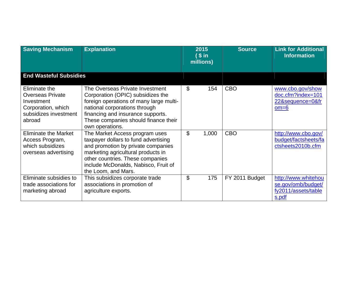| <b>Saving Mechanism</b>                                                                                         | <b>Explanation</b>                                                                                                                                                                                                                                    | 2015<br>(Sin<br>millions) | <b>Source</b>  | <b>Link for Additional</b><br><b>Information</b>                          |
|-----------------------------------------------------------------------------------------------------------------|-------------------------------------------------------------------------------------------------------------------------------------------------------------------------------------------------------------------------------------------------------|---------------------------|----------------|---------------------------------------------------------------------------|
| <b>End Wasteful Subsidies</b>                                                                                   |                                                                                                                                                                                                                                                       |                           |                |                                                                           |
| Eliminate the<br><b>Overseas Private</b><br>Investment<br>Corporation, which<br>subsidizes investment<br>abroad | The Overseas Private Investment<br>Corporation (OPIC) subsidizes the<br>foreign operations of many large multi-<br>national corporations through<br>financing and insurance supports.<br>These companies should finance their<br>own operations.      | \$<br>154                 | <b>CBO</b>     | www.cbo.gov/show<br>doc.cfm?index=101<br>22&sequence=0&fr<br>$om=6$       |
| <b>Eliminate the Market</b><br>Access Program,<br>which subsidizes<br>overseas advertising                      | The Market Access program uses<br>taxpayer dollars to fund advertising<br>and promotion by private companies<br>marketing agricultural products in<br>other countries. These companies<br>include McDonalds, Nabisco, Fruit of<br>the Loom, and Mars. | \$<br>1,000               | <b>CBO</b>     | http://www.cbo.gov/<br>budget/factsheets/fa<br>ctsheets2010b.cfm          |
| Eliminate subsidies to<br>trade associations for<br>marketing abroad                                            | This subsidizes corporate trade<br>associations in promotion of<br>agriculture exports.                                                                                                                                                               | \$<br>175                 | FY 2011 Budget | http://www.whitehou<br>se.gov/omb/budget/<br>fy2011/assets/table<br>s.pdf |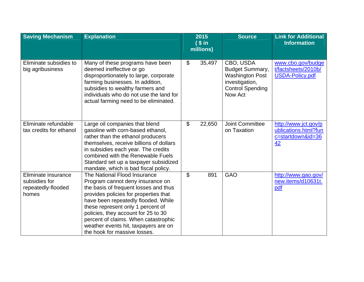| <b>Saving Mechanism</b>                                             | <b>Explanation</b>                                                                                                                                                                                                                                                                                                                                                                    | 2015<br><b>Source</b><br>(sin |                                                                                                                       | <b>Link for Additional</b><br><b>Information</b>                        |
|---------------------------------------------------------------------|---------------------------------------------------------------------------------------------------------------------------------------------------------------------------------------------------------------------------------------------------------------------------------------------------------------------------------------------------------------------------------------|-------------------------------|-----------------------------------------------------------------------------------------------------------------------|-------------------------------------------------------------------------|
|                                                                     |                                                                                                                                                                                                                                                                                                                                                                                       | millions)                     |                                                                                                                       |                                                                         |
| Eliminate subsidies to<br>big agribusiness                          | Many of these programs have been<br>deemed ineffective or go<br>disproportionately to large, corporate<br>farming businesses. In addition,<br>subsidies to wealthy farmers and<br>individuals who do not use the land for<br>actual farming need to be eliminated.                                                                                                                    | $\mathfrak{L}$<br>35,497      | CBO, USDA<br><b>Budget Summary,</b><br><b>Washington Post</b><br>investigation,<br><b>Control Spending</b><br>Now Act | www.cbo.gov/budge<br>t/factsheets/2010b/<br><b>USDA-Policy.pdf</b>      |
| Eliminate refundable<br>tax credits for ethanol                     | Large oil companies that blend<br>gasoline with corn-based ethanol,<br>rather than the ethanol producers<br>themselves, receive billions of dollars<br>in subsidies each year. The credits<br>combined with the Renewable Fuels<br>Standard set up a taxpayer subsidized<br>mandate, which is bad fiscal policy.                                                                      | $\mathbb{S}$<br>22,650        | Joint Committee<br>on Taxation                                                                                        | http://www.jct.gov/p<br>ublications.html?fun<br>c=startdown&id=36<br>42 |
| Eliminate insurance<br>subsidies for<br>repeatedly-flooded<br>homes | The National Flood Insurance<br>Program cannot deny insurance on<br>the basis of frequent losses and thus<br>provides policies for properties that<br>have been repeatedly flooded. While<br>these represent only 1 percent of<br>policies, they account for 25 to 30<br>percent of claims. When catastrophic<br>weather events hit, taxpayers are on<br>the hook for massive losses. | \$<br>891                     | <b>GAO</b>                                                                                                            | http://www.gao.gov/<br>new.items/d10631t.<br>pdf                        |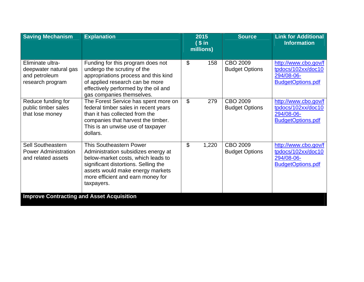| <b>Saving Mechanism</b>                                                        | <b>Explanation</b>                                                                                                                                                                                                                         | 2015<br>(sin<br>millions) | <b>Source</b>                            | <b>Link for Additional</b><br><b>Information</b>                                     |
|--------------------------------------------------------------------------------|--------------------------------------------------------------------------------------------------------------------------------------------------------------------------------------------------------------------------------------------|---------------------------|------------------------------------------|--------------------------------------------------------------------------------------|
| Eliminate ultra-<br>deepwater natural gas<br>and petroleum<br>research program | Funding for this program does not<br>undergo the scrutiny of the<br>appropriations process and this kind<br>of applied research can be more<br>effectively performed by the oil and<br>gas companies themselves.                           | \$<br>158                 | CBO 2009<br><b>Budget Options</b>        | http://www.cbo.gov/f<br>tpdocs/102xx/doc10<br>294/08-06-<br><b>BudgetOptions.pdf</b> |
| Reduce funding for<br>public timber sales<br>that lose money                   | The Forest Service has spent more on<br>federal timber sales in recent years<br>than it has collected from the<br>companies that harvest the timber.<br>This is an unwise use of taxpayer<br>dollars.                                      | \$<br>279                 | <b>CBO 2009</b><br><b>Budget Options</b> | http://www.cbo.gov/f<br>tpdocs/102xx/doc10<br>294/08-06-<br><b>BudgetOptions.pdf</b> |
| <b>Sell Southeastern</b><br><b>Power Administration</b><br>and related assets  | <b>This Southeastern Power</b><br>Administration subsidizes energy at<br>below-market costs, which leads to<br>significant distortions. Selling the<br>assets would make energy markets<br>more efficient and earn money for<br>taxpayers. | \$<br>1,220               | CBO 2009<br><b>Budget Options</b>        | http://www.cbo.gov/f<br>tpdocs/102xx/doc10<br>294/08-06-<br><b>BudgetOptions.pdf</b> |
| <b>Improve Contracting and Asset Acquisition</b>                               |                                                                                                                                                                                                                                            |                           |                                          |                                                                                      |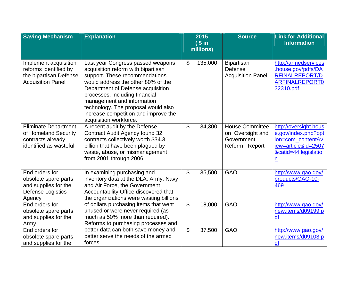| <b>Saving Mechanism</b>                                                                              | <b>Explanation</b>                                                                                                                                                                                                                                                                                                                                            |                | 2015<br>(sin | <b>Source</b>                                                               | <b>Link for Additional</b><br><b>Information</b>                                                                             |
|------------------------------------------------------------------------------------------------------|---------------------------------------------------------------------------------------------------------------------------------------------------------------------------------------------------------------------------------------------------------------------------------------------------------------------------------------------------------------|----------------|--------------|-----------------------------------------------------------------------------|------------------------------------------------------------------------------------------------------------------------------|
|                                                                                                      |                                                                                                                                                                                                                                                                                                                                                               |                | millions)    |                                                                             |                                                                                                                              |
| Implement acquisition<br>reforms identified by<br>the bipartisan Defense<br><b>Acquisition Panel</b> | Last year Congress passed weapons<br>acquisition reform with bipartisan<br>support. These recommendations<br>would address the other 80% of the<br>Department of Defense acquisition<br>processes, including financial<br>management and information<br>technology. The proposal would also<br>increase competition and improve the<br>acquisition workforce. | $\mathcal{L}$  | 135,000      | <b>Bipartisan</b><br>Defense<br><b>Acquisition Panel</b>                    | http://armedservices<br>.house.gov/pdfs/DA<br><b>RFINALREPORT/D</b><br><b>ARFINALREPORT0</b><br>32310.pdf                    |
| <b>Eliminate Department</b><br>of Homeland Security<br>contracts already<br>identified as wasteful   | A recent audit by the Defense<br><b>Contract Audit Agency found 32</b><br>contracts collectively worth \$34.3<br>billion that have been plagued by<br>waste, abuse, or mismanagement<br>from 2001 through 2006.                                                                                                                                               | \$             | 34,300       | <b>House Committee</b><br>on Oversight and<br>Government<br>Reform - Report | http://oversight.hous<br>e.gov/index.php?opt<br>ion=com content&v<br>iew=article&id=2507<br>&catid=44:legislatio<br><u>n</u> |
| End orders for<br>obsolete spare parts<br>and supplies for the<br>Defense Logistics<br>Agency        | In examining purchasing and<br>inventory data at the DLA, Army, Navy<br>and Air Force, the Government<br>Accountability Office discovered that<br>the organizations were wasting billions                                                                                                                                                                     | $\mathfrak{L}$ | 35,500       | <b>GAO</b>                                                                  | http://www.gao.gov/<br>products/GAO-10-<br>469                                                                               |
| End orders for<br>obsolete spare parts<br>and supplies for the<br>Army                               | of dollars purchasing items that went<br>unused or were never required (as<br>much as 50% more than required).<br>Reforms to purchasing processes and                                                                                                                                                                                                         | $\mathfrak{S}$ | 18,000       | <b>GAO</b>                                                                  | http://www.gao.gov/<br>new.items/d09199.p<br>df                                                                              |
| End orders for<br>obsolete spare parts<br>and supplies for the                                       | better data can both save money and<br>better serve the needs of the armed<br>forces.                                                                                                                                                                                                                                                                         | \$             | 37,500       | <b>GAO</b>                                                                  | http://www.gao.gov/<br>new.items/d09103.p<br>df                                                                              |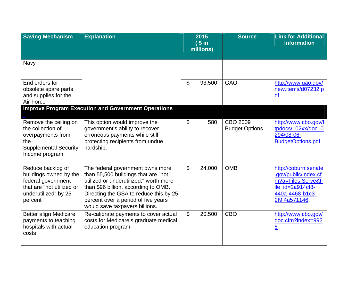| <b>Saving Mechanism</b>                                                                                                           | <b>Explanation</b>                                                                                                                                                                                                                                                           |                | 2015<br>$($ \$ in<br>millions) | <b>Source</b>                     | <b>Link for Additional</b><br><b>Information</b>                                                                         |
|-----------------------------------------------------------------------------------------------------------------------------------|------------------------------------------------------------------------------------------------------------------------------------------------------------------------------------------------------------------------------------------------------------------------------|----------------|--------------------------------|-----------------------------------|--------------------------------------------------------------------------------------------------------------------------|
| Navy                                                                                                                              |                                                                                                                                                                                                                                                                              |                |                                |                                   |                                                                                                                          |
| End orders for<br>obsolete spare parts<br>and supplies for the<br>Air Force                                                       |                                                                                                                                                                                                                                                                              | $\mathfrak{L}$ | 93,500                         | <b>GAO</b>                        | http://www.gao.gov/<br>new.items/d07232.p<br>df                                                                          |
|                                                                                                                                   | <b>Improve Program Execution and Government Operations</b>                                                                                                                                                                                                                   |                |                                |                                   |                                                                                                                          |
| Remove the ceiling on<br>the collection of<br>overpayments from<br>the<br><b>Supplemental Security</b><br>Income program          | This option would improve the<br>government's ability to recover<br>erroneous payments while still<br>protecting recipients from undue<br>hardship.                                                                                                                          | $\mathbb{S}$   | 580                            | CBO 2009<br><b>Budget Options</b> | http://www.cbo.gov/f<br>tpdocs/102xx/doc10<br>294/08-06-<br><b>BudgetOptions.pdf</b>                                     |
| Reduce backlog of<br>buildings owned by the<br>federal government<br>that are "not utilized or<br>underutilized" by 25<br>percent | The federal government owns more<br>than 55,500 buildings that are "not<br>utilized or underutilized," worth more<br>than \$96 billion, according to OMB.<br>Directing the GSA to reduce this by 25<br>percent over a period of five years<br>would save taxpayers billions. | $\mathbb{S}$   | 24,000                         | <b>OMB</b>                        | http://coburn.senate<br>.gov/public/index.cf<br>m?a=Files.Serve&F<br>ile_id=2a914cf8-<br>440a-4468-b1c3-<br>2f9f4a571146 |
| Better align Medicare<br>payments to teaching<br>hospitals with actual<br>costs                                                   | Re-calibrate payments to cover actual<br>costs for Medicare's graduate medical<br>education program.                                                                                                                                                                         | $\mathfrak{S}$ | 20,500                         | <b>CBO</b>                        | http://www.cbo.gov/<br>doc.cfm?index=992<br>$\overline{5}$                                                               |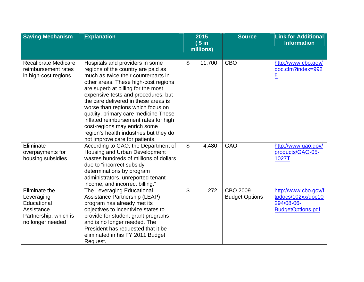| <b>Saving Mechanism</b>                                                                               | <b>Explanation</b>                                                                                                                                                                                                                                                                                                                                                                                                                                                                                          | 2015                     | <b>Source</b>                     | <b>Link for Additional</b>                                                           |  |
|-------------------------------------------------------------------------------------------------------|-------------------------------------------------------------------------------------------------------------------------------------------------------------------------------------------------------------------------------------------------------------------------------------------------------------------------------------------------------------------------------------------------------------------------------------------------------------------------------------------------------------|--------------------------|-----------------------------------|--------------------------------------------------------------------------------------|--|
|                                                                                                       |                                                                                                                                                                                                                                                                                                                                                                                                                                                                                                             | (sin<br>millions)        |                                   | <b>Information</b>                                                                   |  |
| <b>Recalibrate Medicare</b><br>reimbursement rates<br>in high-cost regions                            | Hospitals and providers in some<br>regions of the country are paid as<br>much as twice their counterparts in<br>other areas. These high-cost regions<br>are superb at billing for the most<br>expensive tests and procedures, but<br>the care delivered in these areas is<br>worse than regions which focus on<br>quality, primary care medicine These<br>inflated reimbursement rates for high<br>cost-regions may enrich some<br>region's health industries but they do<br>not improve care for patients. | $\mathfrak{S}$<br>11,700 | <b>CBO</b>                        | http://www.cbo.gov/<br>doc.cfm?index=992<br>$\overline{5}$                           |  |
| Eliminate<br>overpayments for<br>housing subsidies                                                    | According to GAO, the Department of<br>Housing and Urban Development<br>wastes hundreds of millions of dollars<br>due to "incorrect subsidy<br>determinations by program<br>administrators, unreported tenant<br>income, and incorrect billing."                                                                                                                                                                                                                                                            | $\mathfrak{S}$<br>4,480  | <b>GAO</b>                        | http://www.gao.gov/<br>products/GAO-05-<br>1027T                                     |  |
| Eliminate the<br>Leveraging<br>Educational<br>Assistance<br>Partnership, which is<br>no longer needed | The Leveraging Educational<br>Assistance Partnership (LEAP)<br>program has already met its<br>objectives to incentivize states to<br>provide for student grant programs<br>and is no longer needed. The<br>President has requested that it be<br>eliminated in his FY 2011 Budget<br>Request.                                                                                                                                                                                                               | \$<br>272                | CBO 2009<br><b>Budget Options</b> | http://www.cbo.gov/f<br>tpdocs/102xx/doc10<br>294/08-06-<br><b>BudgetOptions.pdf</b> |  |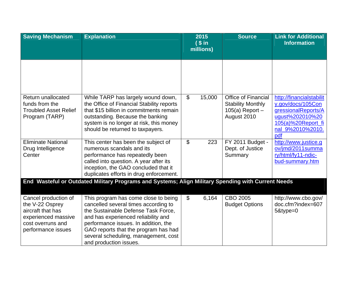| <b>Saving Mechanism</b>                                                                                                        | <b>Explanation</b>                                                                                                                                                                                                                                                                                           |                | 2015<br>(sin<br>millions) | <b>Source</b>                                                                              | <b>Link for Additional</b><br><b>Information</b>                                                                                         |
|--------------------------------------------------------------------------------------------------------------------------------|--------------------------------------------------------------------------------------------------------------------------------------------------------------------------------------------------------------------------------------------------------------------------------------------------------------|----------------|---------------------------|--------------------------------------------------------------------------------------------|------------------------------------------------------------------------------------------------------------------------------------------|
|                                                                                                                                |                                                                                                                                                                                                                                                                                                              |                |                           |                                                                                            |                                                                                                                                          |
| Return unallocated<br>funds from the<br><b>Troubled Asset Relief</b><br>Program (TARP)                                         | While TARP has largely wound down,<br>the Office of Financial Stability reports<br>that \$15 billion in commitments remain<br>outstanding. Because the banking<br>system is no longer at risk, this money<br>should be returned to taxpayers.                                                                | $\mathfrak{L}$ | 15,000                    | <b>Office of Financial</b><br><b>Stability Monthly</b><br>$105(a)$ Report -<br>August 2010 | http://financialstabilit<br>y.gov/docs/105Con<br>gressionalReports/A<br>ugust%202010%20<br>105(a)%20Report_fi<br>nal 9%2010%2010.<br>pdf |
| <b>Eliminate National</b><br>Drug Intelligence<br>Center                                                                       | This center has been the subject of<br>numerous scandals and its<br>performance has repeatedly been<br>called into question. A year after its<br>inception, the GAO concluded that it<br>duplicates efforts in drug enforcement.                                                                             | $\mathfrak{L}$ | 223                       | FY 2011 Budget -<br>Dept. of Justice<br>Summary                                            | http://www.justice.g<br>ov/jmd/2011summa<br>ry/html/fy11-ndic-<br>bud-summary.htm                                                        |
|                                                                                                                                | End Wasteful or Outdated Military Programs and Systems; Align Military Spending with Current Needs                                                                                                                                                                                                           |                |                           |                                                                                            |                                                                                                                                          |
| Cancel production of<br>the V-22 Osprey<br>aircraft that has<br>experienced massive<br>cost overruns and<br>performance issues | This program has come close to being<br>cancelled several times according to<br>the Sustainable Defense Task Force,<br>and has experienced reliability and<br>performance issues. In addition, the<br>GAO reports that the program has had<br>several scheduling, management, cost<br>and production issues. | $\mathfrak{L}$ | 6,164                     | CBO 2005<br><b>Budget Options</b>                                                          | http://www.cbo.gov/<br>doc.cfm?index=607<br>5&type=0                                                                                     |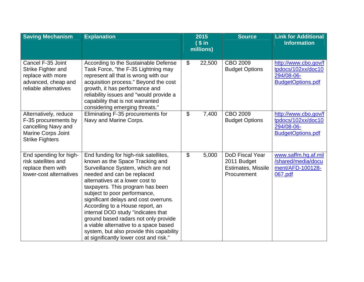| <b>Saving Mechanism</b>                                                                                                     | <b>Explanation</b>                                                                                                                                                                                                                                                                                                                                                                                                                                                                                                                           | 2015<br><b>Source</b><br>(sin<br>millions) | <b>Link for Additional</b><br><b>Information</b>                           |                                                                                      |
|-----------------------------------------------------------------------------------------------------------------------------|----------------------------------------------------------------------------------------------------------------------------------------------------------------------------------------------------------------------------------------------------------------------------------------------------------------------------------------------------------------------------------------------------------------------------------------------------------------------------------------------------------------------------------------------|--------------------------------------------|----------------------------------------------------------------------------|--------------------------------------------------------------------------------------|
| Cancel F-35 Joint<br>Strike Fighter and<br>replace with more<br>advanced, cheap and<br>reliable alternatives                | According to the Sustainable Defense<br>Task Force, "the F-35 Lightning may<br>represent all that is wrong with our<br>acquisition process." Beyond the cost<br>growth, it has performance and<br>reliability issues and "would provide a<br>capability that is not warranted<br>considering emerging threats."                                                                                                                                                                                                                              | $\mathfrak{L}$<br>22,500                   | CBO 2009<br><b>Budget Options</b>                                          | http://www.cbo.gov/f<br>tpdocs/102xx/doc10<br>294/08-06-<br><b>BudgetOptions.pdf</b> |
| Alternatively, reduce<br>F-35 procurements by<br>cancelling Navy and<br><b>Marine Corps Joint</b><br><b>Strike Fighters</b> | Eliminating F-35 procurements for<br>Navy and Marine Corps.                                                                                                                                                                                                                                                                                                                                                                                                                                                                                  | $\boldsymbol{\mathsf{S}}$<br>7,400         | CBO 2009<br><b>Budget Options</b>                                          | http://www.cbo.gov/f<br>tpdocs/102xx/doc10<br>294/08-06-<br><b>BudgetOptions.pdf</b> |
| End spending for high-<br>risk satellites and<br>replace them with<br>lower-cost alternatives                               | End funding for high-risk satellites,<br>known as the Space Tracking and<br>Surveillance System, which are not<br>needed and can be replaced<br>alternatives at a lower cost to<br>taxpayers. This program has been<br>subject to poor performance,<br>significant delays and cost overruns.<br>According to a House report, an<br>internal DOD study "indicates that<br>ground based radars not only provide<br>a viable alternative to a space based<br>system, but also provide this capability<br>at significantly lower cost and risk." | $\boldsymbol{\mathsf{S}}$<br>5,000         | DoD Fiscal Year<br>2011 Budget<br><b>Estimates, Missile</b><br>Procurement | www.saffm.hq.af.mil<br>/shared/media/docu<br>ment/AFD-100128-<br>067.pdf             |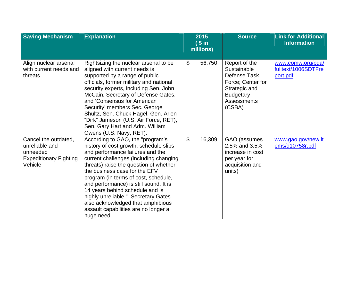| <b>Saving Mechanism</b>                                                                        | <b>Explanation</b>                                                                                                                                                                                                                                                                                                                                                                                                                                                                         |                | 2015<br>(sin<br>millions) | <b>Source</b>                                                                                                                          | <b>Link for Additional</b><br><b>Information</b>     |
|------------------------------------------------------------------------------------------------|--------------------------------------------------------------------------------------------------------------------------------------------------------------------------------------------------------------------------------------------------------------------------------------------------------------------------------------------------------------------------------------------------------------------------------------------------------------------------------------------|----------------|---------------------------|----------------------------------------------------------------------------------------------------------------------------------------|------------------------------------------------------|
| Align nuclear arsenal<br>with current needs and<br>threats                                     | Rightsizing the nuclear arsenal to be<br>aligned with current needs is<br>supported by a range of public<br>officials, former military and national<br>security experts, including Sen. John<br>McCain, Secretary of Defense Gates,<br>and 'Consensus for American<br>Security' members Sec. George<br>Shultz, Sen. Chuck Hagel, Gen. Arlen<br>"Dirk" Jameson (U.S. Air Force, RET),<br>Sen. Gary Hart and Adm. William<br>Owens (U.S. Navy, RET).                                         | $\mathfrak{L}$ | 56,750                    | Report of the<br>Sustainable<br>Defense Task<br>Force; Center for<br>Strategic and<br><b>Budgetary</b><br><b>Assessments</b><br>(CSBA) | www.comw.org/pda/<br>fulltext/1006SDTFre<br>port.pdf |
| Cancel the outdated,<br>unreliable and<br>unneeded<br><b>Expeditionary Fighting</b><br>Vehicle | According to GAO, the "program's<br>history of cost growth, schedule slips<br>and performance failures and the<br>current challenges (including changing<br>threats) raise the question of whether<br>the business case for the EFV<br>program (in terms of cost, schedule,<br>and performance) is still sound. It is<br>14 years behind schedule and is<br>highly unreliable." Secretary Gates<br>also acknowledged that amphibious<br>assault capabilities are no longer a<br>huge need. | $\mathfrak{S}$ | 16,309                    | GAO (assumes<br>2.5% and 3.5%<br>increase in cost<br>per year for<br>acquisition and<br>units)                                         | www.gao.gov/new.it<br>ems/d10758r.pdf                |